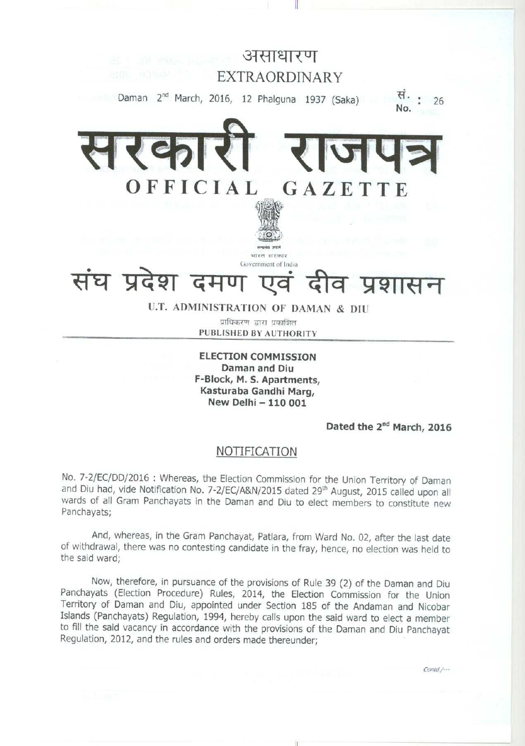

**11**

**ELECTION COMMISSION Daman and Diu F-Block**, **M. S. Apartments, Kasturaba Gandhi Marg, New Delhi - 110 001**

Dated the 2<sup>nd</sup> March, 2016

Contd./---

## NOTIFICATION

No. 7-2/EC/DD/2016 : Whereas, the Election Commission for the Union Territory of Daman and Diu had, vide Notification No. 7-2/EC/A&N/2015 dated 29<sup>th</sup> August, 2015 called upon all wards of all Gram Panchayats in the Daman and Diu to elect members to constitute new Panchayats;

And, whereas, in the Gram Panchayat, Patlara, from Ward No. 02, after the last date of withdrawal, there was no contesting candidate in the fray, hence, no election was held to the said ward;

Now, therefore, in pursuance of the provisions of Rule 39 (2) of the Daman and Diu Panchayats (Election Procedure) Rules, 2014, the Election Commission for the Union Territory of Daman and Diu, appointed under Section 185 of the Andaman and Nicobar Islands (Panchayats) Regulation, 1994, hereby calls upon the said ward to elect a member to fill the said vacancy in accordance with the provisions of the Daman and Diu Panchayat Regulation, 2012, and the rules and orders made thereunder;